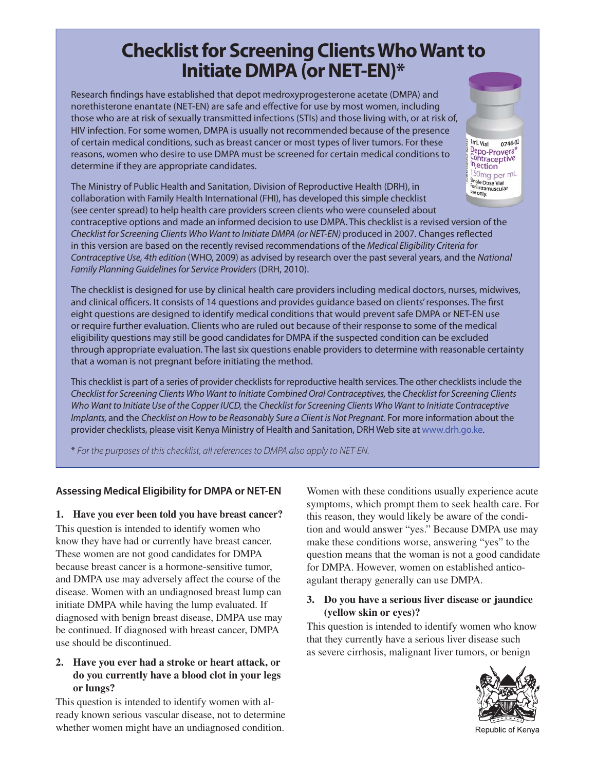# **Checklist for Screening Clients Who Want to Initiate DMPA (or NET-EN)\***

Research findings have established that depot medroxyprogesterone acetate (DMPA) and norethisterone enantate (NET-EN) are safe and effective for use by most women, including those who are at risk of sexually transmitted infections (STIs) and those living with, or at risk of, HIV infection. For some women, DMPA is usually not recommended because of the presence of certain medical conditions, such as breast cancer or most types of liver tumors. For these reasons, women who desire to use DMPA must be screened for certain medical conditions to determine if they are appropriate candidates.



<sup>1</sup>mL Vial 0746-02 Depo-Provera®<br>Contraceptive<br>Injection 150<sub>mg</sub> per m<sup>L</sup><br>Single Dose Vial<br>For intramuscular<br><sup>Use</sup> only.

The Ministry of Public Health and Sanitation, Division of Reproductive Health (DRH), in collaboration with Family Health International (FHI), has developed this simple checklist (see center spread) to help health care providers screen clients who were counseled about contraceptive options and made an informed decision to use DMPA. This checklist is a revised version of the Checklist for Screening Clients Who Want to Initiate DMPA (or NET-EN) produced in 2007. Changes reflected in this version are based on the recently revised recommendations of the Medical Eligibility Criteria for Contraceptive Use, 4th edition (WHO, 2009) as advised by research over the past several years, and the National

Family Planning Guidelines for Service Providers (DRH, 2010).

The checklist is designed for use by clinical health care providers including medical doctors, nurses, midwives, and clinical officers. It consists of 14 questions and provides quidance based on clients' responses. The first eight questions are designed to identify medical conditions that would prevent safe DMPA or NET-EN use or require further evaluation. Clients who are ruled out because of their response to some of the medical eligibility questions may still be good candidates for DMPA if the suspected condition can be excluded through appropriate evaluation. The last six questions enable providers to determine with reasonable certainty that a woman is not pregnant before initiating the method.

This checklist is part of a series of provider checklists for reproductive health services. The other checklists include the Checklist for Screening Clients Who Want to Initiate Combined Oral Contraceptives, the Checklist for Screening Clients Who Want to Initiate Use of the Copper IUCD, the Checklist for Screening Clients Who Want to Initiate Contraceptive Implants, and the Checklist on How to be Reasonably Sure a Client is Not Pregnant. For more information about the provider checklists, please visit Kenya Ministry of Health and Sanitation, DRH Web site at www.drh.go.ke.

\* For the purposes of this checklist, all references to DMPA also apply to NET-EN.

# **Assessing Medical Eligibility for DMPA or NET-EN**

#### **1. Have you ever been told you have breast cancer?**

This question is intended to identify women who know they have had or currently have breast cancer. These women are not good candidates for DMPA because breast cancer is a hormone-sensitive tumor, and DMPA use may adversely affect the course of the disease. Women with an undiagnosed breast lump can initiate DMPA while having the lump evaluated. If diagnosed with benign breast disease, DMPA use may be continued. If diagnosed with breast cancer, DMPA use should be discontinued.

# **2. Have you ever had a stroke or heart attack, or do you currently have a blood clot in your legs or lungs?**

This question is intended to identify women with already known serious vascular disease, not to determine whether women might have an undiagnosed condition. Women with these conditions usually experience acute symptoms, which prompt them to seek health care. For this reason, they would likely be aware of the condition and would answer "yes." Because DMPA use may make these conditions worse, answering "yes" to the question means that the woman is not a good candidate for DMPA. However, women on established anticoagulant therapy generally can use DMPA.

# **3. Do you have a serious liver disease or jaundice (yellow skin or eyes)?**

This question is intended to identify women who know that they currently have a serious liver disease such as severe cirrhosis, malignant liver tumors, or benign



Republic of Kenva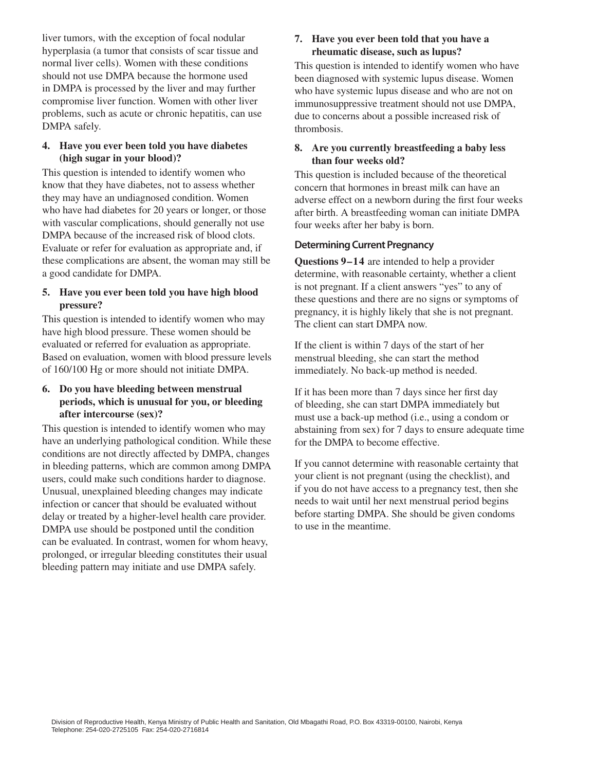liver tumors, with the exception of focal nodular hyperplasia (a tumor that consists of scar tissue and normal liver cells). Women with these conditions should not use DMPA because the hormone used in DMPA is processed by the liver and may further compromise liver function. Women with other liver problems, such as acute or chronic hepatitis, can use DMPA safely.

#### **4. Have you ever been told you have diabetes (high sugar in your blood)?**

This question is intended to identify women who know that they have diabetes, not to assess whether they may have an undiagnosed condition. Women who have had diabetes for 20 years or longer, or those with vascular complications, should generally not use DMPA because of the increased risk of blood clots. Evaluate or refer for evaluation as appropriate and, if these complications are absent, the woman may still be a good candidate for DMPA.

### **5. Have you ever been told you have high blood pressure?**

This question is intended to identify women who may have high blood pressure. These women should be evaluated or referred for evaluation as appropriate. Based on evaluation, women with blood pressure levels of 160/100 Hg or more should not initiate DMPA.

#### **6. Do you have bleeding between menstrual periods, which is unusual for you, or bleeding after intercourse (sex)?**

This question is intended to identify women who may have an underlying pathological condition. While these conditions are not directly affected by DMPA, changes in bleeding patterns, which are common among DMPA users, could make such conditions harder to diagnose. Unusual, unexplained bleeding changes may indicate infection or cancer that should be evaluated without delay or treated by a higher-level health care provider. DMPA use should be postponed until the condition can be evaluated. In contrast, women for whom heavy, prolonged, or irregular bleeding constitutes their usual bleeding pattern may initiate and use DMPA safely.

#### **7. Have you ever been told that you have a rheumatic disease, such as lupus?**

This question is intended to identify women who have been diagnosed with systemic lupus disease. Women who have systemic lupus disease and who are not on immunosuppressive treatment should not use DMPA, due to concerns about a possible increased risk of thrombosis.

### **8. Are you currently breastfeeding a baby less than four weeks old?**

This question is included because of the theoretical concern that hormones in breast milk can have an adverse effect on a newborn during the first four weeks after birth. A breastfeeding woman can initiate DMPA four weeks after her baby is born.

### **Determining Current Pregnancy**

**Questions 9–14** are intended to help a provider determine, with reasonable certainty, whether a client is not pregnant. If a client answers "yes" to any of these questions and there are no signs or symptoms of pregnancy, it is highly likely that she is not pregnant. The client can start DMPA now.

If the client is within 7 days of the start of her menstrual bleeding, she can start the method immediately. No back-up method is needed.

If it has been more than 7 days since her first day of bleeding, she can start DMPA immediately but must use a back-up method (i.e., using a condom or abstaining from sex) for 7 days to ensure adequate time for the DMPA to become effective.

If you cannot determine with reasonable certainty that your client is not pregnant (using the checklist), and if you do not have access to a pregnancy test, then she needs to wait until her next menstrual period begins before starting DMPA. She should be given condoms to use in the meantime.